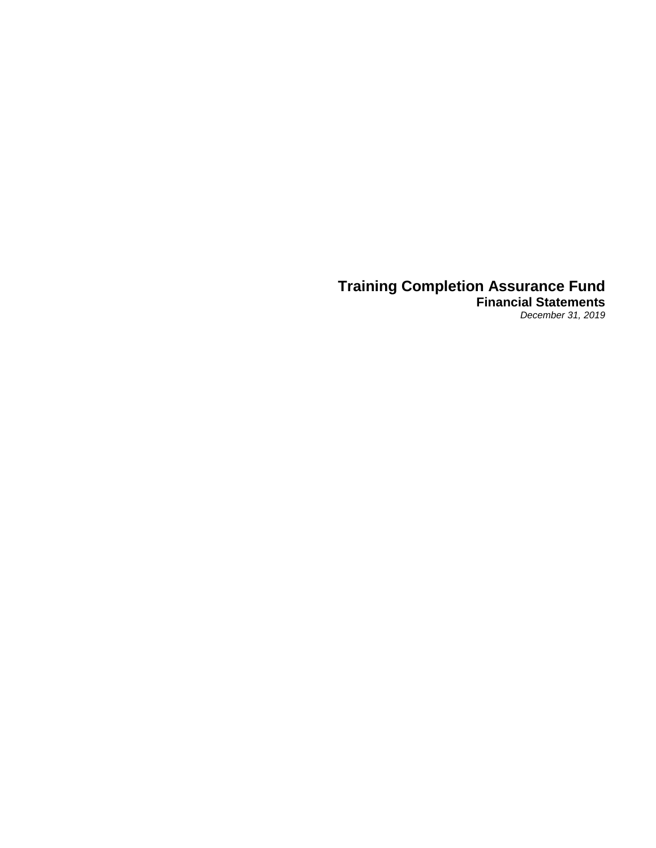## **Training Completion Assurance Fund Financial Statements** *December 31, 2019*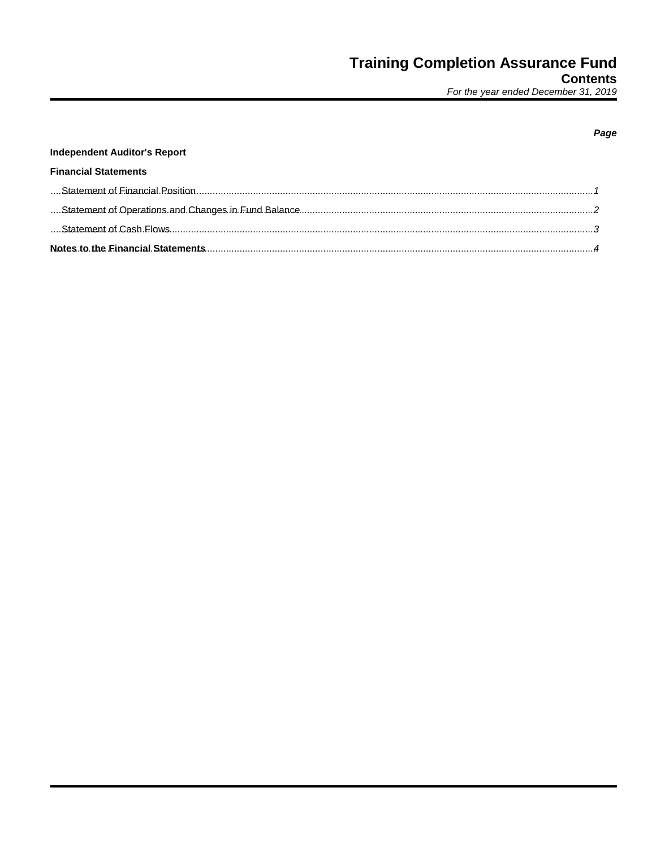## **Independent Auditor's Report Financial Statements**

### Page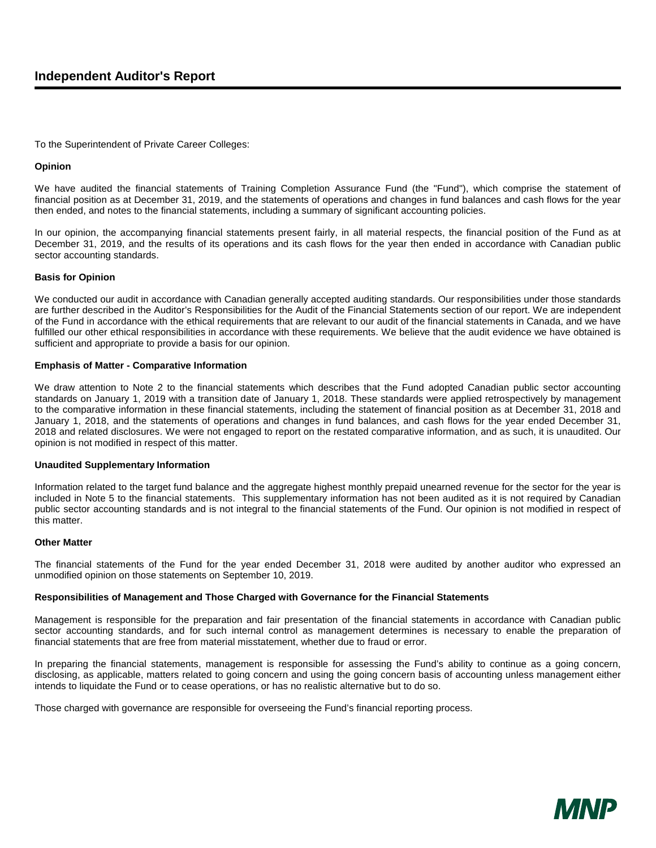To the Superintendent of Private Career Colleges:

#### **Opinion**

We have audited the financial statements of Training Completion Assurance Fund (the "Fund"), which comprise the statement of financial position as at December 31, 2019, and the statements of operations and changes in fund balances and cash flows for the year then ended, and notes to the financial statements, including a summary of significant accounting policies.

In our opinion, the accompanying financial statements present fairly, in all material respects, the financial position of the Fund as at December 31, 2019, and the results of its operations and its cash flows for the year then ended in accordance with Canadian public sector accounting standards.

#### **Basis for Opinion**

We conducted our audit in accordance with Canadian generally accepted auditing standards. Our responsibilities under those standards are further described in the Auditor's Responsibilities for the Audit of the Financial Statements section of our report. We are independent of the Fund in accordance with the ethical requirements that are relevant to our audit of the financial statements in Canada, and we have fulfilled our other ethical responsibilities in accordance with these requirements. We believe that the audit evidence we have obtained is sufficient and appropriate to provide a basis for our opinion.

#### **Emphasis of Matter - Comparative Information**

We draw attention to Note 2 to the financial statements which describes that the Fund adopted Canadian public sector accounting standards on January 1, 2019 with a transition date of January 1, 2018. These standards were applied retrospectively by management to the comparative information in these financial statements, including the statement of financial position as at December 31, 2018 and January 1, 2018, and the statements of operations and changes in fund balances, and cash flows for the year ended December 31, 2018 and related disclosures. We were not engaged to report on the restated comparative information, and as such, it is unaudited. Our opinion is not modified in respect of this matter.

#### **Unaudited Supplementary Information**

Information related to the target fund balance and the aggregate highest monthly prepaid unearned revenue for the sector for the year is included in Note 5 to the financial statements. This supplementary information has not been audited as it is not required by Canadian public sector accounting standards and is not integral to the financial statements of the Fund. Our opinion is not modified in respect of this matter.

#### **Other Matter**

The financial statements of the Fund for the year ended December 31, 2018 were audited by another auditor who expressed an unmodified opinion on those statements on September 10, 2019.

#### **Responsibilities of Management and Those Charged with Governance for the Financial Statements**

Management is responsible for the preparation and fair presentation of the financial statements in accordance with Canadian public sector accounting standards, and for such internal control as management determines is necessary to enable the preparation of financial statements that are free from material misstatement, whether due to fraud or error.

In preparing the financial statements, management is responsible for assessing the Fund's ability to continue as a going concern, disclosing, as applicable, matters related to going concern and using the going concern basis of accounting unless management either intends to liquidate the Fund or to cease operations, or has no realistic alternative but to do so.

Those charged with governance are responsible for overseeing the Fund's financial reporting process.

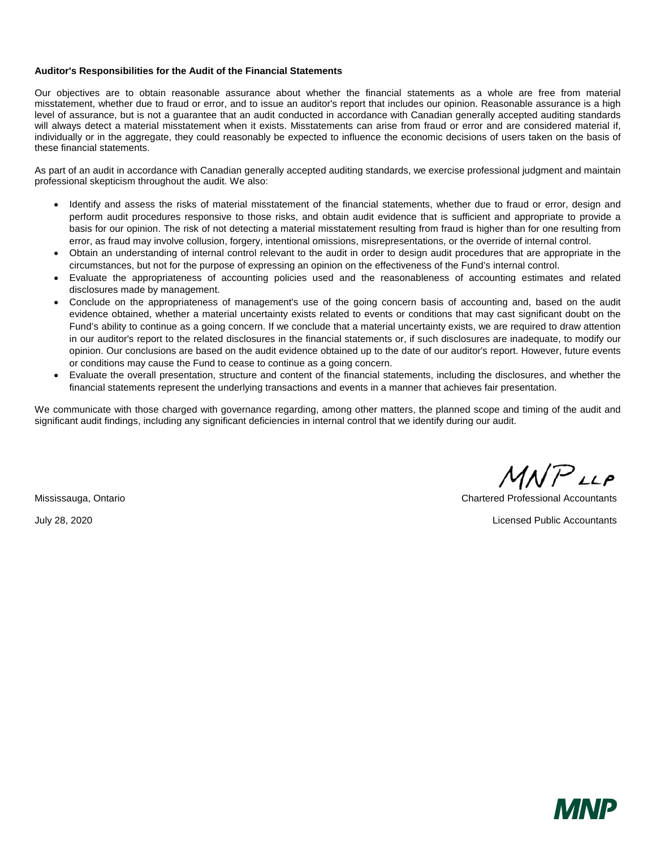#### **Auditor's Responsibilities for the Audit of the Financial Statements**

Our objectives are to obtain reasonable assurance about whether the financial statements as a whole are free from material misstatement, whether due to fraud or error, and to issue an auditor's report that includes our opinion. Reasonable assurance is a high level of assurance, but is not a guarantee that an audit conducted in accordance with Canadian generally accepted auditing standards will always detect a material misstatement when it exists. Misstatements can arise from fraud or error and are considered material if, individually or in the aggregate, they could reasonably be expected to influence the economic decisions of users taken on the basis of these financial statements.

As part of an audit in accordance with Canadian generally accepted auditing standards, we exercise professional judgment and maintain professional skepticism throughout the audit. We also:

- Identify and assess the risks of material misstatement of the financial statements, whether due to fraud or error, design and perform audit procedures responsive to those risks, and obtain audit evidence that is sufficient and appropriate to provide a basis for our opinion. The risk of not detecting a material misstatement resulting from fraud is higher than for one resulting from error, as fraud may involve collusion, forgery, intentional omissions, misrepresentations, or the override of internal control.
- Obtain an understanding of internal control relevant to the audit in order to design audit procedures that are appropriate in the circumstances, but not for the purpose of expressing an opinion on the effectiveness of the Fund's internal control.
- Evaluate the appropriateness of accounting policies used and the reasonableness of accounting estimates and related disclosures made by management.
- Conclude on the appropriateness of management's use of the going concern basis of accounting and, based on the audit evidence obtained, whether a material uncertainty exists related to events or conditions that may cast significant doubt on the Fund's ability to continue as a going concern. If we conclude that a material uncertainty exists, we are required to draw attention in our auditor's report to the related disclosures in the financial statements or, if such disclosures are inadequate, to modify our opinion. Our conclusions are based on the audit evidence obtained up to the date of our auditor's report. However, future events or conditions may cause the Fund to cease to continue as a going concern.
- Evaluate the overall presentation, structure and content of the financial statements, including the disclosures, and whether the financial statements represent the underlying transactions and events in a manner that achieves fair presentation.

We communicate with those charged with governance regarding, among other matters, the planned scope and timing of the audit and significant audit findings, including any significant deficiencies in internal control that we identify during our audit.

Mississauga, Ontario Chartered Professional Accountants

July 28, 2020 Licensed Public Accountants

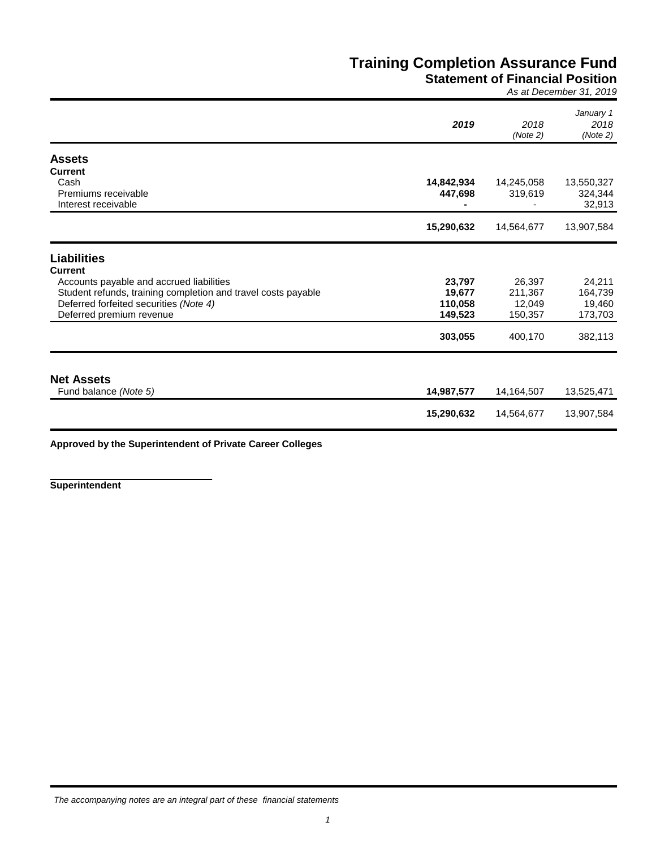# **Training Completion Assurance Fund**

**Statement of Financial Position**

*As at December 31, 2019*

|                                                                                                           | 2019             | 2018<br>(Note 2)  | January 1<br>2018<br>(Note 2) |
|-----------------------------------------------------------------------------------------------------------|------------------|-------------------|-------------------------------|
| <b>Assets</b>                                                                                             |                  |                   |                               |
| <b>Current</b>                                                                                            |                  |                   |                               |
| Cash                                                                                                      | 14,842,934       | 14,245,058        | 13,550,327                    |
| Premiums receivable<br>Interest receivable                                                                | 447,698          | 319,619           | 324,344<br>32,913             |
|                                                                                                           | 15,290,632       | 14,564,677        | 13,907,584                    |
| <b>Liabilities</b>                                                                                        |                  |                   |                               |
| <b>Current</b>                                                                                            |                  |                   |                               |
| Accounts payable and accrued liabilities<br>Student refunds, training completion and travel costs payable | 23,797<br>19,677 | 26,397<br>211,367 | 24,211<br>164,739             |
| Deferred forfeited securities (Note 4)                                                                    | 110,058          | 12,049            | 19,460                        |
| Deferred premium revenue                                                                                  | 149,523          | 150,357           | 173,703                       |
|                                                                                                           | 303,055          | 400,170           | 382,113                       |
|                                                                                                           |                  |                   |                               |
| <b>Net Assets</b>                                                                                         |                  |                   |                               |
| Fund balance (Note 5)                                                                                     | 14,987,577       | 14,164,507        | 13,525,471                    |
|                                                                                                           | 15,290,632       | 14,564,677        | 13,907,584                    |

**Approved by the Superintendent of Private Career Colleges**

**Superintendent**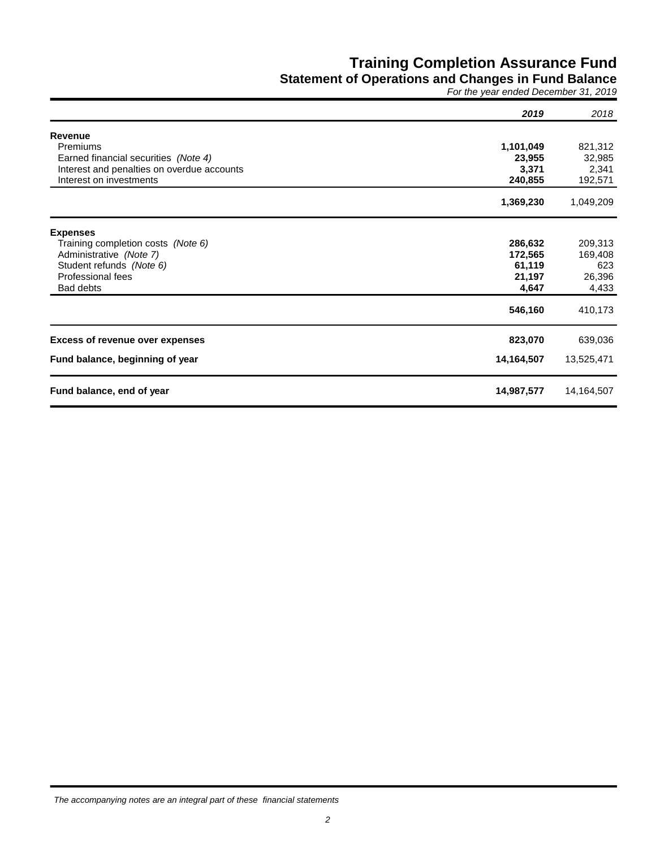## **Training Completion Assurance Fund**

### **Statement of Operations and Changes in Fund Balance**

*For the year ended December 31, 2019*

|                                            | 2019       | 2018       |
|--------------------------------------------|------------|------------|
| <b>Revenue</b>                             |            |            |
| <b>Premiums</b>                            | 1,101,049  | 821,312    |
| Earned financial securities (Note 4)       | 23,955     | 32,985     |
| Interest and penalties on overdue accounts | 3,371      | 2,341      |
| Interest on investments                    | 240,855    | 192,571    |
|                                            | 1,369,230  | 1,049,209  |
| <b>Expenses</b>                            |            |            |
| Training completion costs (Note 6)         | 286,632    | 209,313    |
| Administrative (Note 7)                    | 172,565    | 169,408    |
| Student refunds (Note 6)                   | 61,119     | 623        |
| Professional fees                          | 21,197     | 26,396     |
| Bad debts                                  | 4,647      | 4,433      |
|                                            | 546,160    | 410,173    |
| <b>Excess of revenue over expenses</b>     | 823,070    | 639,036    |
| Fund balance, beginning of year            | 14,164,507 | 13,525,471 |
| Fund balance, end of year                  | 14,987,577 | 14,164,507 |

*The accompanying notes are an integral part of these financial statements*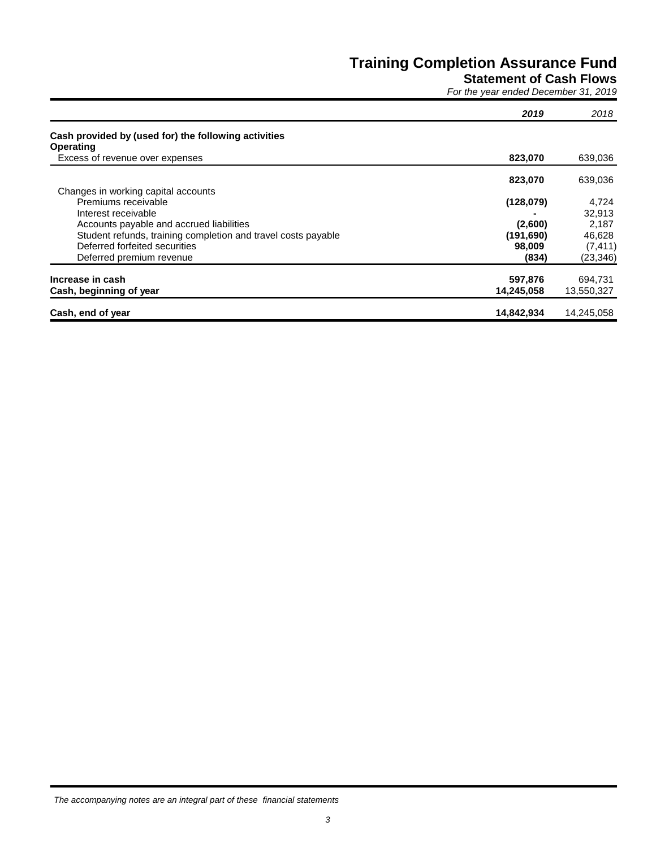**Training Completion Assurance Fund**

## **Statement of Cash Flows**

*For the year ended December 31, 2019*

|                                                                                                | 2019                 | 2018               |
|------------------------------------------------------------------------------------------------|----------------------|--------------------|
| Cash provided by (used for) the following activities<br>Operating                              |                      |                    |
| Excess of revenue over expenses                                                                | 823,070              | 639,036            |
|                                                                                                | 823,070              | 639,036            |
| Changes in working capital accounts<br>Premiums receivable                                     | (128,079)            | 4,724              |
| Interest receivable<br>Accounts payable and accrued liabilities                                | (2,600)              | 32,913<br>2,187    |
| Student refunds, training completion and travel costs payable<br>Deferred forfeited securities | (191, 690)<br>98,009 | 46,628<br>(7, 411) |
| Deferred premium revenue                                                                       | (834)                | (23, 346)          |
| Increase in cash                                                                               | 597,876              | 694,731            |
| Cash, beginning of year                                                                        | 14,245,058           | 13,550,327         |
| Cash, end of year                                                                              | 14,842,934           | 14,245,058         |

#### *The accompanying notes are an integral part of these financial statements*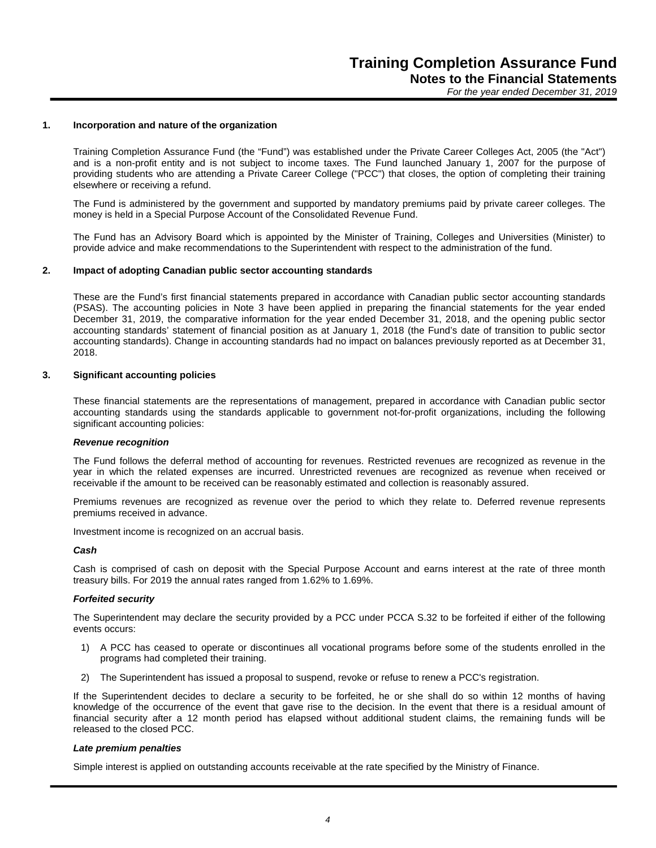#### **1. Incorporation and nature of the organization**

Training Completion Assurance Fund (the "Fund") was established under the Private Career Colleges Act, 2005 (the "Act") and is a non-profit entity and is not subject to income taxes. The Fund launched January 1, 2007 for the purpose of providing students who are attending a Private Career College ("PCC") that closes, the option of completing their training elsewhere or receiving a refund.

The Fund is administered by the government and supported by mandatory premiums paid by private career colleges. The money is held in a Special Purpose Account of the Consolidated Revenue Fund.

The Fund has an Advisory Board which is appointed by the Minister of Training, Colleges and Universities (Minister) to provide advice and make recommendations to the Superintendent with respect to the administration of the fund.

#### **2. Impact of adopting Canadian public sector accounting standards**

These are the Fund's first financial statements prepared in accordance with Canadian public sector accounting standards (PSAS). The accounting policies in Note 3 have been applied in preparing the financial statements for the year ended December 31, 2019, the comparative information for the year ended December 31, 2018, and the opening public sector accounting standards' statement of financial position as at January 1, 2018 (the Fund's date of transition to public sector accounting standards). Change in accounting standards had no impact on balances previously reported as at December 31, 2018.

#### **3. Significant accounting policies**

These financial statements are the representations of management, prepared in accordance with Canadian public sector accounting standards using the standards applicable to government not-for-profit organizations, including the following significant accounting policies:

#### *Revenue recognition*

The Fund follows the deferral method of accounting for revenues. Restricted revenues are recognized as revenue in the year in which the related expenses are incurred. Unrestricted revenues are recognized as revenue when received or receivable if the amount to be received can be reasonably estimated and collection is reasonably assured.

Premiums revenues are recognized as revenue over the period to which they relate to. Deferred revenue represents premiums received in advance.

Investment income is recognized on an accrual basis.

#### *Cash*

Cash is comprised of cash on deposit with the Special Purpose Account and earns interest at the rate of three month treasury bills. For 2019 the annual rates ranged from 1.62% to 1.69%.

#### *Forfeited security*

The Superintendent may declare the security provided by a PCC under PCCA S.32 to be forfeited if either of the following events occurs:

- 1) A PCC has ceased to operate or discontinues all vocational programs before some of the students enrolled in the programs had completed their training.
- 2) The Superintendent has issued a proposal to suspend, revoke or refuse to renew a PCC's registration.

If the Superintendent decides to declare a security to be forfeited, he or she shall do so within 12 months of having knowledge of the occurrence of the event that gave rise to the decision. In the event that there is a residual amount of financial security after a 12 month period has elapsed without additional student claims, the remaining funds will be released to the closed PCC.

#### *Late premium penalties*

Simple interest is applied on outstanding accounts receivable at the rate specified by the Ministry of Finance.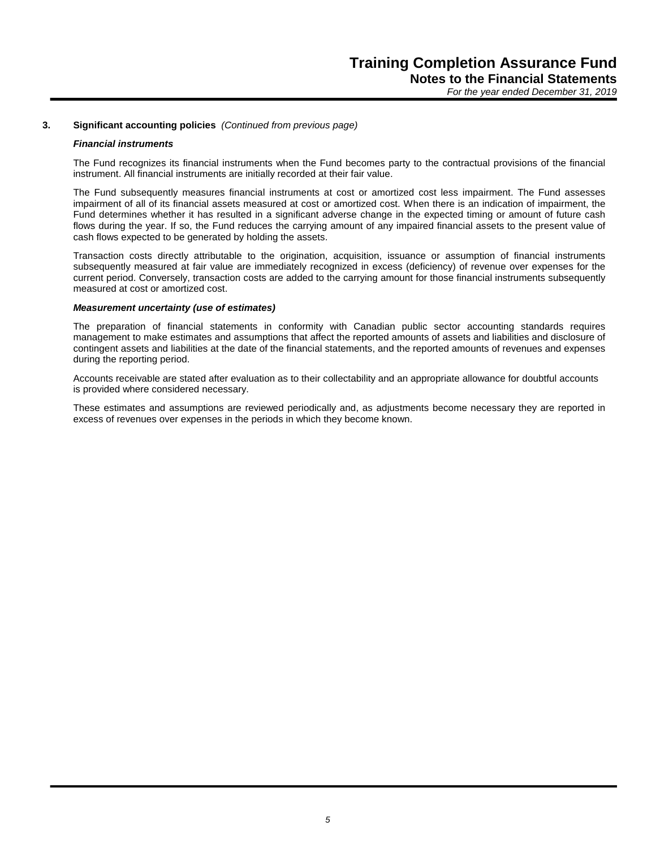#### **3. Significant accounting policies** *(Continued from previous page)*

#### *Financial instruments*

The Fund recognizes its financial instruments when the Fund becomes party to the contractual provisions of the financial instrument. All financial instruments are initially recorded at their fair value.

The Fund subsequently measures financial instruments at cost or amortized cost less impairment. The Fund assesses impairment of all of its financial assets measured at cost or amortized cost. When there is an indication of impairment, the Fund determines whether it has resulted in a significant adverse change in the expected timing or amount of future cash flows during the year. If so, the Fund reduces the carrying amount of any impaired financial assets to the present value of cash flows expected to be generated by holding the assets.

Transaction costs directly attributable to the origination, acquisition, issuance or assumption of financial instruments subsequently measured at fair value are immediately recognized in excess (deficiency) of revenue over expenses for the current period. Conversely, transaction costs are added to the carrying amount for those financial instruments subsequently measured at cost or amortized cost.

#### *Measurement uncertainty (use of estimates)*

The preparation of financial statements in conformity with Canadian public sector accounting standards requires management to make estimates and assumptions that affect the reported amounts of assets and liabilities and disclosure of contingent assets and liabilities at the date of the financial statements, and the reported amounts of revenues and expenses during the reporting period.

Accounts receivable are stated after evaluation as to their collectability and an appropriate allowance for doubtful accounts is provided where considered necessary.

These estimates and assumptions are reviewed periodically and, as adjustments become necessary they are reported in excess of revenues over expenses in the periods in which they become known.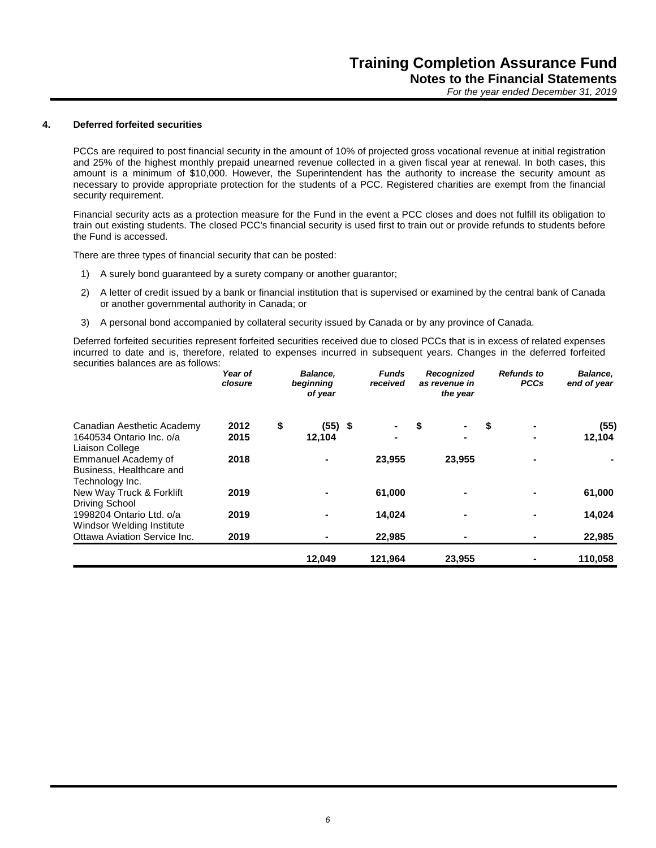### **4. Deferred forfeited securities**

PCCs are required to post financial security in the amount of 10% of projected gross vocational revenue at initial registration and 25% of the highest monthly prepaid unearned revenue collected in a given fiscal year at renewal. In both cases, this amount is a minimum of \$10,000. However, the Superintendent has the authority to increase the security amount as necessary to provide appropriate protection for the students of a PCC. Registered charities are exempt from the financial security requirement.

Financial security acts as a protection measure for the Fund in the event a PCC closes and does not fulfill its obligation to train out existing students. The closed PCC's financial security is used first to train out or provide refunds to students before the Fund is accessed.

There are three types of financial security that can be posted:

- 1) A surely bond guaranteed by a surety company or another guarantor;
- 2) A letter of credit issued by a bank or financial institution that is supervised or examined by the central bank of Canada or another governmental authority in Canada; or
- 3) A personal bond accompanied by collateral security issued by Canada or by any province of Canada.

Deferred forfeited securities represent forfeited securities received due to closed PCCs that is in excess of related expenses incurred to date and is, therefore, related to expenses incurred in subsequent years. Changes in the deferred forfeited securities balances are as follows:

|                                            | Year of<br>closure | <b>Balance,</b><br>beginning<br>of year | <b>Funds</b><br>received | Recognized<br>as revenue in<br>the year | <b>Refunds to</b><br><b>PCCs</b> | Balance,<br>end of year |
|--------------------------------------------|--------------------|-----------------------------------------|--------------------------|-----------------------------------------|----------------------------------|-------------------------|
| Canadian Aesthetic Academy                 | 2012               | \$<br>$(55)$ \$                         | $\blacksquare$           | \$                                      | \$<br>$\blacksquare$             | (55)                    |
| 1640534 Ontario Inc. o/a                   | 2015               | 12,104                                  | $\blacksquare$           |                                         | $\blacksquare$                   | 12,104                  |
| Liaison College                            |                    |                                         |                          |                                         |                                  |                         |
| Emmanuel Academy of                        | 2018               |                                         | 23,955                   | 23,955                                  | $\blacksquare$                   |                         |
| Business, Healthcare and                   |                    |                                         |                          |                                         |                                  |                         |
| Technology Inc.                            |                    |                                         |                          |                                         |                                  |                         |
| New Way Truck & Forklift<br>Driving School | 2019               |                                         | 61,000                   |                                         |                                  | 61,000                  |
| 1998204 Ontario Ltd. o/a                   | 2019               |                                         | 14,024                   |                                         | $\blacksquare$                   | 14,024                  |
| Windsor Welding Institute                  |                    |                                         |                          |                                         |                                  |                         |
| Ottawa Aviation Service Inc.               | 2019               |                                         | 22,985                   |                                         |                                  | 22,985                  |
|                                            |                    | 12,049                                  | 121,964                  | 23,955                                  |                                  | 110,058                 |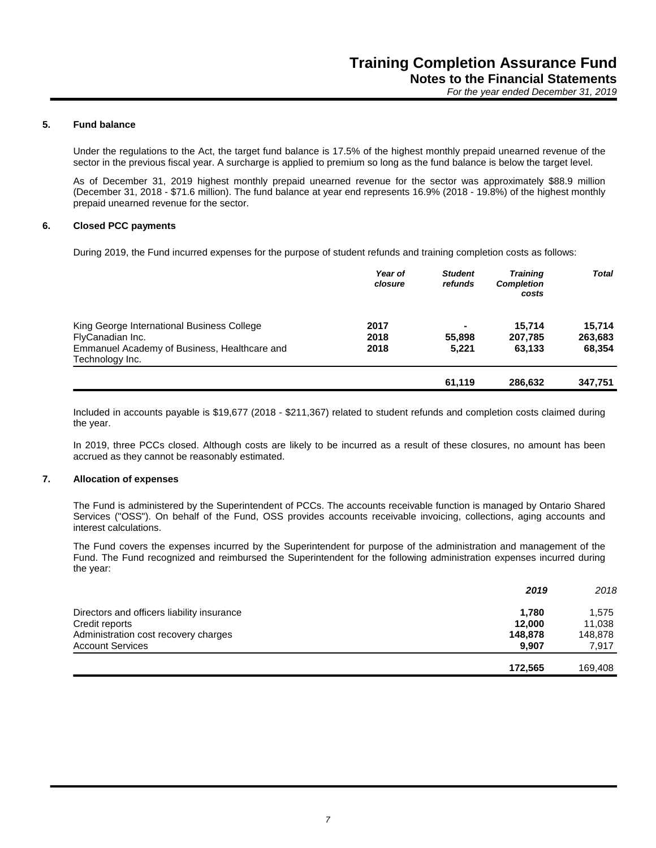### **5. Fund balance**

Under the regulations to the Act, the target fund balance is 17.5% of the highest monthly prepaid unearned revenue of the sector in the previous fiscal year. A surcharge is applied to premium so long as the fund balance is below the target level.

As of December 31, 2019 highest monthly prepaid unearned revenue for the sector was approximately \$88.9 million (December 31, 2018 - \$71.6 million). The fund balance at year end represents 16.9% (2018 - 19.8%) of the highest monthly prepaid unearned revenue for the sector.

#### **6. Closed PCC payments**

During 2019, the Fund incurred expenses for the purpose of student refunds and training completion costs as follows:

|                                                                 | Year of<br>closure | <b>Student</b><br>refunds | Training<br><b>Completion</b><br>costs | Total   |
|-----------------------------------------------------------------|--------------------|---------------------------|----------------------------------------|---------|
| King George International Business College                      | 2017               |                           | 15.714                                 | 15.714  |
| FlyCanadian Inc.                                                | 2018               | 55,898                    | 207,785                                | 263,683 |
| Emmanuel Academy of Business, Healthcare and<br>Technology Inc. | 2018               | 5,221                     | 63,133                                 | 68,354  |
|                                                                 |                    | 61,119                    | 286.632                                | 347,751 |

Included in accounts payable is \$19,677 (2018 - \$211,367) related to student refunds and completion costs claimed during the year.

In 2019, three PCCs closed. Although costs are likely to be incurred as a result of these closures, no amount has been accrued as they cannot be reasonably estimated.

### **7. Allocation of expenses**

The Fund is administered by the Superintendent of PCCs. The accounts receivable function is managed by Ontario Shared Services ("OSS"). On behalf of the Fund, OSS provides accounts receivable invoicing, collections, aging accounts and interest calculations.

The Fund covers the expenses incurred by the Superintendent for purpose of the administration and management of the Fund. The Fund recognized and reimbursed the Superintendent for the following administration expenses incurred during the year:

|                                            | 2019    | 2018    |
|--------------------------------------------|---------|---------|
| Directors and officers liability insurance | 1.780   | 1.575   |
| Credit reports                             | 12.000  | 11.038  |
| Administration cost recovery charges       | 148,878 | 148,878 |
| <b>Account Services</b>                    | 9.907   | 7.917   |
|                                            | 172.565 | 169.408 |